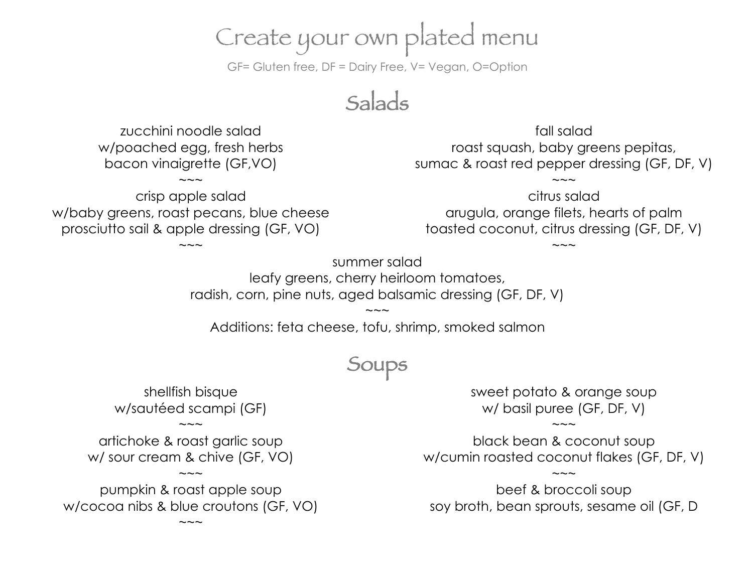# Create your own plated menu

GF= Gluten free, DF = Dairy Free, V= Vegan, O=Option

Salads

zucchini noodle salad w/poached egg, fresh herbs bacon vinaigrette (GF,VO)

crisp apple salad w/baby greens, roast pecans, blue cheese prosciutto sail & apple dressing (GF, VO)

 $\sim\sim\sim$ 

 $\sim\sim\sim$ 

fall salad roast squash, baby greens pepitas, sumac & roast red pepper dressing (GF, DF, V)

 $\sim\sim\sim$ 

citrus salad arugula, orange filets, hearts of palm toasted coconut, citrus dressing (GF, DF, V)

 $\sim\sim\sim$ 

summer salad leafy greens, cherry heirloom tomatoes, radish, corn, pine nuts, aged balsamic dressing (GF, DF, V)

 $\sim\sim\sim$ Additions: feta cheese, tofu, shrimp, smoked salmon

## **Soups**

shellfish bisque w/sautéed scampi (GF)

artichoke & roast garlic soup w/ sour cream & chive (GF, VO)

 $\sim\sim\sim$ 

 $\sim\sim\sim$ 

pumpkin & roast apple soup w/cocoa nibs & blue croutons (GF, VO)

 $\sim\sim\sim$ 

sweet potato & orange soup w/ basil puree (GF, DF, V)

black bean & coconut soup w/cumin roasted coconut flakes (GF, DF, V)

 $\sim\sim\sim$ 

 $\sim\sim\sim$ 

beef & broccoli soup soy broth, bean sprouts, sesame oil (GF, D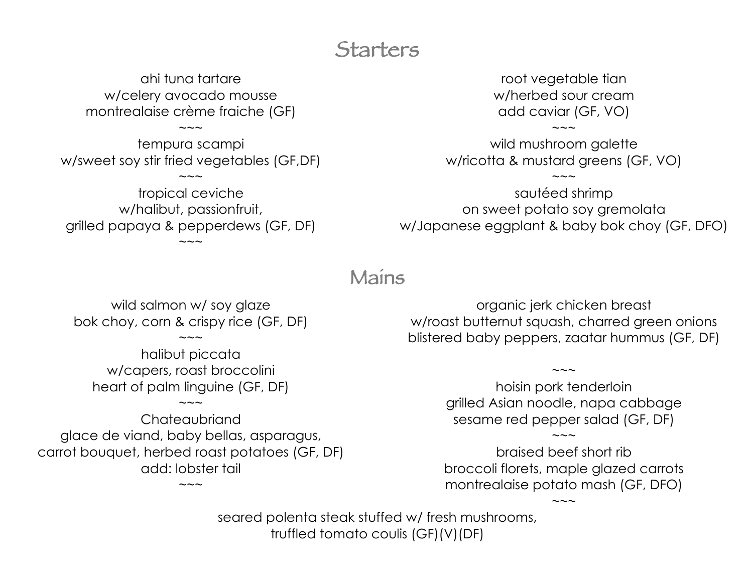### **Starters**

ahi tuna tartare w/celery avocado mousse montrealaise crème fraiche (GF)

tempura scampi w/sweet soy stir fried vegetables (GF,DF)

 $\sim\sim\sim$ 

 $\sim\sim\sim$ 

tropical ceviche w/halibut, passionfruit, grilled papaya & pepperdews (GF, DF)  $\sim\sim\sim$ 

root vegetable tian w/herbed sour cream add caviar (GF, VO)

 $\sim\sim\sim$ 

wild mushroom galette w/ricotta & mustard greens (GF, VO)

 $\sim\sim\sim$ 

sautéed shrimp on sweet potato soy gremolata w/Japanese eggplant & baby bok choy (GF, DFO)

### Mains

wild salmon w/ soy glaze bok choy, corn & crispy rice (GF, DF)

 $\sim\sim\sim$ 

halibut piccata w/capers, roast broccolini heart of palm linguine (GF, DF)

 $\sim\sim\sim$ 

**Chateaubriand** glace de viand, baby bellas, asparagus, carrot bouquet, herbed roast potatoes (GF, DF) add: lobster tail

 $\sim\sim\sim$ 

organic jerk chicken breast w/roast butternut squash, charred green onions blistered baby peppers, zaatar hummus (GF, DF)

> hoisin pork tenderloin grilled Asian noodle, napa cabbage sesame red pepper salad (GF, DF)

 $\sim\sim\sim$ 

braised beef short rib broccoli florets, maple glazed carrots montrealaise potato mash (GF, DFO)

 $\sim\sim\sim$ 

 $\sim\sim\sim$ 

seared polenta steak stuffed w/ fresh mushrooms, truffled tomato coulis (GF)(V)(DF)